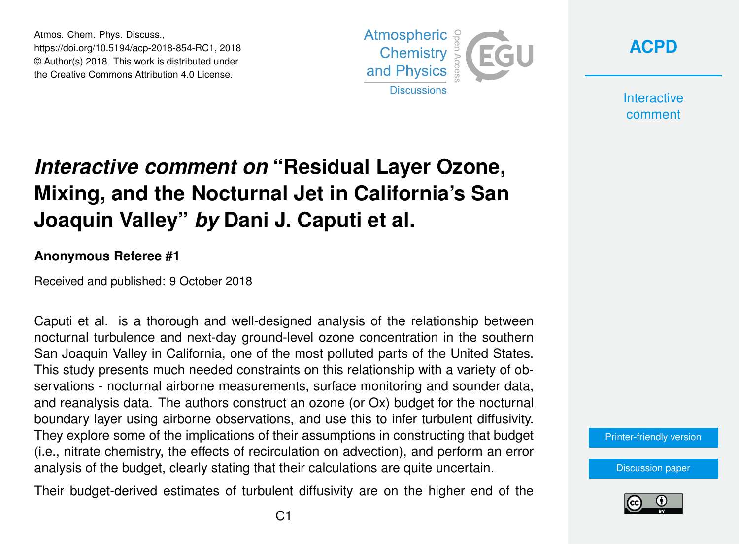Atmos. Chem. Phys. Discuss., https://doi.org/10.5194/acp-2018-854-RC1, 2018 © Author(s) 2018. This work is distributed under the Creative Commons Attribution 4.0 License.





**Interactive** comment

# *Interactive comment on* **"Residual Layer Ozone, Mixing, and the Nocturnal Jet in California's San Joaquin Valley"** *by* **Dani J. Caputi et al.**

#### **Anonymous Referee #1**

Received and published: 9 October 2018

Caputi et al. is a thorough and well-designed analysis of the relationship between nocturnal turbulence and next-day ground-level ozone concentration in the southern San Joaquin Valley in California, one of the most polluted parts of the United States. This study presents much needed constraints on this relationship with a variety of observations - nocturnal airborne measurements, surface monitoring and sounder data, and reanalysis data. The authors construct an ozone (or Ox) budget for the nocturnal boundary layer using airborne observations, and use this to infer turbulent diffusivity. They explore some of the implications of their assumptions in constructing that budget (i.e., nitrate chemistry, the effects of recirculation on advection), and perform an error analysis of the budget, clearly stating that their calculations are quite uncertain.

Their budget-derived estimates of turbulent diffusivity are on the higher end of the



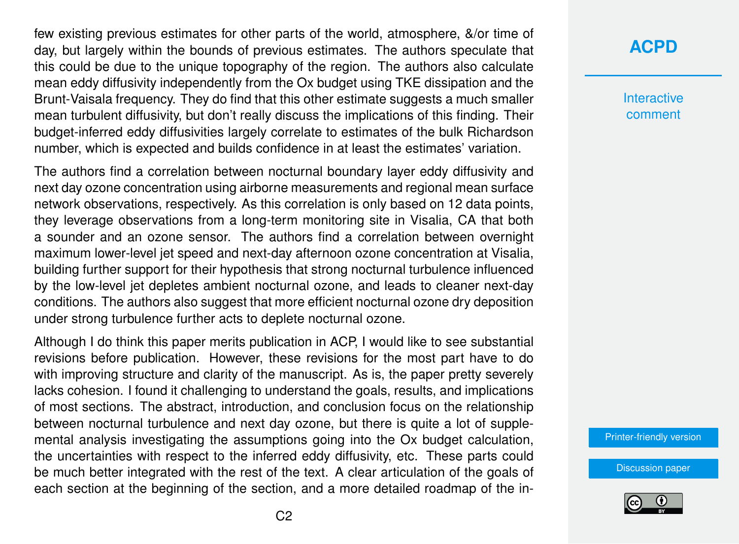few existing previous estimates for other parts of the world, atmosphere, &/or time of day, but largely within the bounds of previous estimates. The authors speculate that this could be due to the unique topography of the region. The authors also calculate mean eddy diffusivity independently from the Ox budget using TKE dissipation and the Brunt-Vaisala frequency. They do find that this other estimate suggests a much smaller mean turbulent diffusivity, but don't really discuss the implications of this finding. Their budget-inferred eddy diffusivities largely correlate to estimates of the bulk Richardson number, which is expected and builds confidence in at least the estimates' variation.

The authors find a correlation between nocturnal boundary layer eddy diffusivity and next day ozone concentration using airborne measurements and regional mean surface network observations, respectively. As this correlation is only based on 12 data points, they leverage observations from a long-term monitoring site in Visalia, CA that both a sounder and an ozone sensor. The authors find a correlation between overnight maximum lower-level jet speed and next-day afternoon ozone concentration at Visalia, building further support for their hypothesis that strong nocturnal turbulence influenced by the low-level jet depletes ambient nocturnal ozone, and leads to cleaner next-day conditions. The authors also suggest that more efficient nocturnal ozone dry deposition under strong turbulence further acts to deplete nocturnal ozone.

Although I do think this paper merits publication in ACP, I would like to see substantial revisions before publication. However, these revisions for the most part have to do with improving structure and clarity of the manuscript. As is, the paper pretty severely lacks cohesion. I found it challenging to understand the goals, results, and implications of most sections. The abstract, introduction, and conclusion focus on the relationship between nocturnal turbulence and next day ozone, but there is quite a lot of supplemental analysis investigating the assumptions going into the Ox budget calculation, the uncertainties with respect to the inferred eddy diffusivity, etc. These parts could be much better integrated with the rest of the text. A clear articulation of the goals of each section at the beginning of the section, and a more detailed roadmap of the in-

## **[ACPD](https://www.atmos-chem-phys-discuss.net/)**

**Interactive** comment

[Printer-friendly version](https://www.atmos-chem-phys-discuss.net/acp-2018-854/acp-2018-854-RC1-print.pdf)

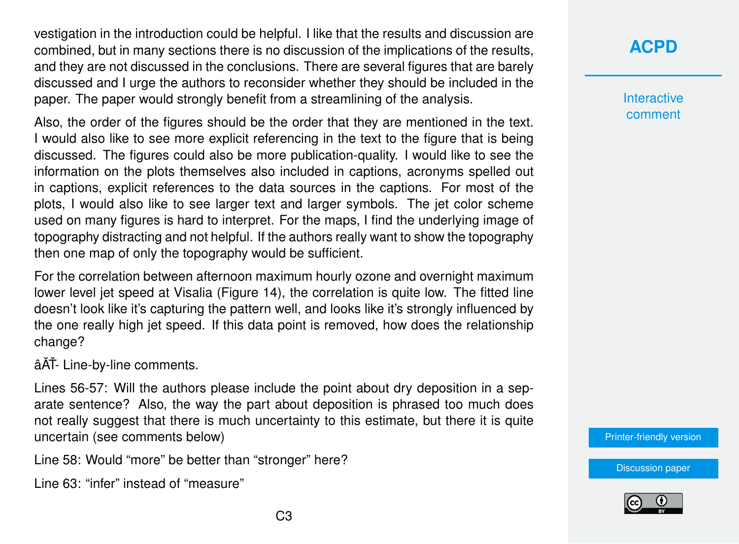vestigation in the introduction could be helpful. I like that the results and discussion are combined, but in many sections there is no discussion of the implications of the results, and they are not discussed in the conclusions. There are several figures that are barely discussed and I urge the authors to reconsider whether they should be included in the paper. The paper would strongly benefit from a streamlining of the analysis.

Also, the order of the figures should be the order that they are mentioned in the text. I would also like to see more explicit referencing in the text to the figure that is being discussed. The figures could also be more publication-quality. I would like to see the information on the plots themselves also included in captions, acronyms spelled out in captions, explicit references to the data sources in the captions. For most of the plots, I would also like to see larger text and larger symbols. The jet color scheme used on many figures is hard to interpret. For the maps, I find the underlying image of topography distracting and not helpful. If the authors really want to show the topography then one map of only the topography would be sufficient.

For the correlation between afternoon maximum hourly ozone and overnight maximum lower level jet speed at Visalia (Figure 14), the correlation is quite low. The fitted line doesn't look like it's capturing the pattern well, and looks like it's strongly influenced by the one really high jet speed. If this data point is removed, how does the relationship change?

âĂŤ- Line-by-line comments.

Lines 56-57: Will the authors please include the point about dry deposition in a separate sentence? Also, the way the part about deposition is phrased too much does not really suggest that there is much uncertainty to this estimate, but there it is quite uncertain (see comments below)

Line 58: Would "more" be better than "stronger" here?

Line 63: "infer" instead of "measure"

**Interactive** comment

[Printer-friendly version](https://www.atmos-chem-phys-discuss.net/acp-2018-854/acp-2018-854-RC1-print.pdf)

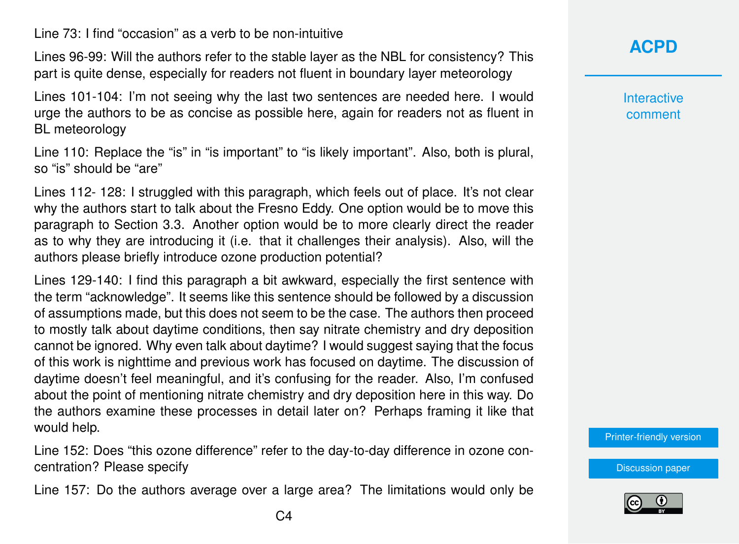Line 73: I find "occasion" as a verb to be non-intuitive

Lines 96-99: Will the authors refer to the stable layer as the NBL for consistency? This part is quite dense, especially for readers not fluent in boundary layer meteorology

Lines 101-104: I'm not seeing why the last two sentences are needed here. I would urge the authors to be as concise as possible here, again for readers not as fluent in BL meteorology

Line 110: Replace the "is" in "is important" to "is likely important". Also, both is plural, so "is" should be "are"

Lines 112- 128: I struggled with this paragraph, which feels out of place. It's not clear why the authors start to talk about the Fresno Eddy. One option would be to move this paragraph to Section 3.3. Another option would be to more clearly direct the reader as to why they are introducing it (i.e. that it challenges their analysis). Also, will the authors please briefly introduce ozone production potential?

Lines 129-140: I find this paragraph a bit awkward, especially the first sentence with the term "acknowledge". It seems like this sentence should be followed by a discussion of assumptions made, but this does not seem to be the case. The authors then proceed to mostly talk about daytime conditions, then say nitrate chemistry and dry deposition cannot be ignored. Why even talk about daytime? I would suggest saying that the focus of this work is nighttime and previous work has focused on daytime. The discussion of daytime doesn't feel meaningful, and it's confusing for the reader. Also, I'm confused about the point of mentioning nitrate chemistry and dry deposition here in this way. Do the authors examine these processes in detail later on? Perhaps framing it like that would help.

Line 152: Does "this ozone difference" refer to the day-to-day difference in ozone concentration? Please specify

Line 157: Do the authors average over a large area? The limitations would only be

**Interactive** comment

[Printer-friendly version](https://www.atmos-chem-phys-discuss.net/acp-2018-854/acp-2018-854-RC1-print.pdf)

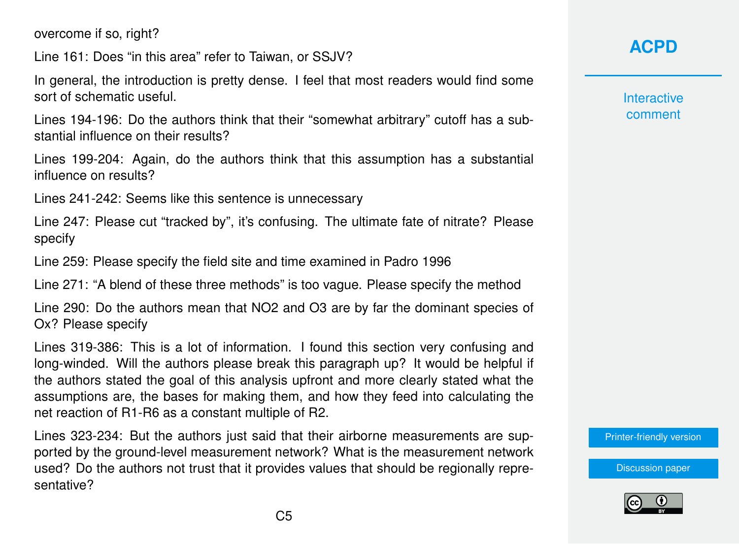overcome if so, right?

Line 161: Does "in this area" refer to Taiwan, or SSJV?

In general, the introduction is pretty dense. I feel that most readers would find some sort of schematic useful.

Lines 194-196: Do the authors think that their "somewhat arbitrary" cutoff has a substantial influence on their results?

Lines 199-204: Again, do the authors think that this assumption has a substantial influence on results?

Lines 241-242: Seems like this sentence is unnecessary

Line 247: Please cut "tracked by", it's confusing. The ultimate fate of nitrate? Please specify

Line 259: Please specify the field site and time examined in Padro 1996

Line 271: "A blend of these three methods" is too vague. Please specify the method

Line 290: Do the authors mean that NO2 and O3 are by far the dominant species of Ox? Please specify

Lines 319-386: This is a lot of information. I found this section very confusing and long-winded. Will the authors please break this paragraph up? It would be helpful if the authors stated the goal of this analysis upfront and more clearly stated what the assumptions are, the bases for making them, and how they feed into calculating the net reaction of R1-R6 as a constant multiple of R2.

Lines 323-234: But the authors just said that their airborne measurements are supported by the ground-level measurement network? What is the measurement network used? Do the authors not trust that it provides values that should be regionally representative?

# **[ACPD](https://www.atmos-chem-phys-discuss.net/)**

**Interactive** comment

[Printer-friendly version](https://www.atmos-chem-phys-discuss.net/acp-2018-854/acp-2018-854-RC1-print.pdf)

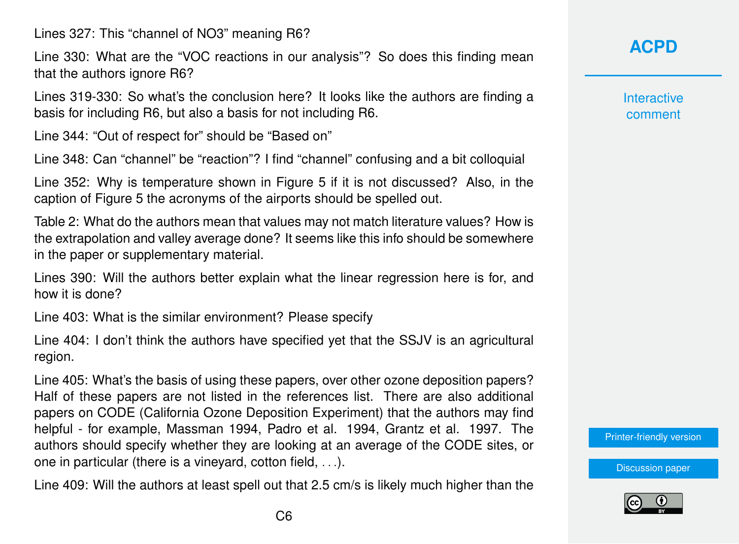Lines 327: This "channel of NO3" meaning R6?

Line 330: What are the "VOC reactions in our analysis"? So does this finding mean that the authors ignore R6?

Lines 319-330: So what's the conclusion here? It looks like the authors are finding a basis for including R6, but also a basis for not including R6.

Line 344: "Out of respect for" should be "Based on"

Line 348: Can "channel" be "reaction"? I find "channel" confusing and a bit colloquial

Line 352: Why is temperature shown in Figure 5 if it is not discussed? Also, in the caption of Figure 5 the acronyms of the airports should be spelled out.

Table 2: What do the authors mean that values may not match literature values? How is the extrapolation and valley average done? It seems like this info should be somewhere in the paper or supplementary material.

Lines 390: Will the authors better explain what the linear regression here is for, and how it is done?

Line 403: What is the similar environment? Please specify

Line 404: I don't think the authors have specified yet that the SSJV is an agricultural region.

Line 405: What's the basis of using these papers, over other ozone deposition papers? Half of these papers are not listed in the references list. There are also additional papers on CODE (California Ozone Deposition Experiment) that the authors may find helpful - for example, Massman 1994, Padro et al. 1994, Grantz et al. 1997. The authors should specify whether they are looking at an average of the CODE sites, or one in particular (there is a vineyard, cotton field, . . .).

Line 409: Will the authors at least spell out that 2.5 cm/s is likely much higher than the

**Interactive** comment

[Printer-friendly version](https://www.atmos-chem-phys-discuss.net/acp-2018-854/acp-2018-854-RC1-print.pdf)

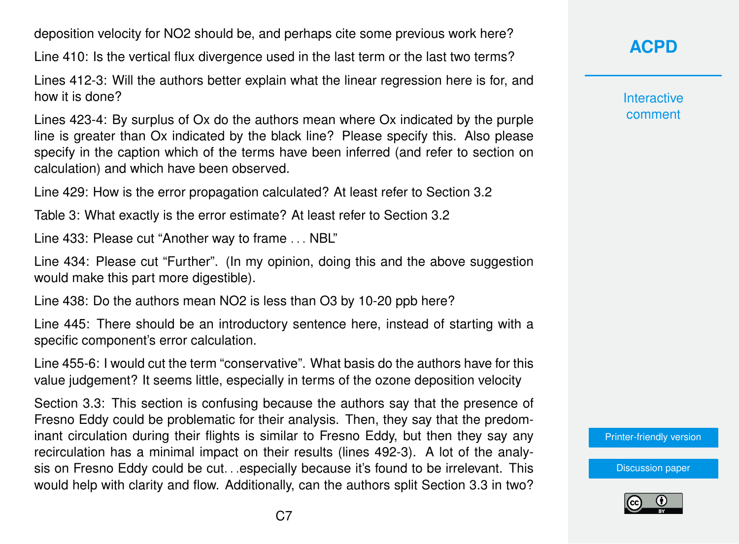deposition velocity for NO2 should be, and perhaps cite some previous work here?

Line 410: Is the vertical flux divergence used in the last term or the last two terms?

Lines 412-3: Will the authors better explain what the linear regression here is for, and how it is done?

Lines 423-4: By surplus of Ox do the authors mean where Ox indicated by the purple line is greater than Ox indicated by the black line? Please specify this. Also please specify in the caption which of the terms have been inferred (and refer to section on calculation) and which have been observed.

Line 429: How is the error propagation calculated? At least refer to Section 3.2

Table 3: What exactly is the error estimate? At least refer to Section 3.2

Line 433: Please cut "Another way to frame . . . NBL"

Line 434: Please cut "Further". (In my opinion, doing this and the above suggestion would make this part more digestible).

Line 438: Do the authors mean NO2 is less than O3 by 10-20 ppb here?

Line 445: There should be an introductory sentence here, instead of starting with a specific component's error calculation.

Line 455-6: I would cut the term "conservative". What basis do the authors have for this value judgement? It seems little, especially in terms of the ozone deposition velocity

Section 3.3: This section is confusing because the authors say that the presence of Fresno Eddy could be problematic for their analysis. Then, they say that the predominant circulation during their flights is similar to Fresno Eddy, but then they say any recirculation has a minimal impact on their results (lines 492-3). A lot of the analysis on Fresno Eddy could be cut. . . especially because it's found to be irrelevant. This would help with clarity and flow. Additionally, can the authors split Section 3.3 in two? **[ACPD](https://www.atmos-chem-phys-discuss.net/)**

**Interactive** comment

[Printer-friendly version](https://www.atmos-chem-phys-discuss.net/acp-2018-854/acp-2018-854-RC1-print.pdf)

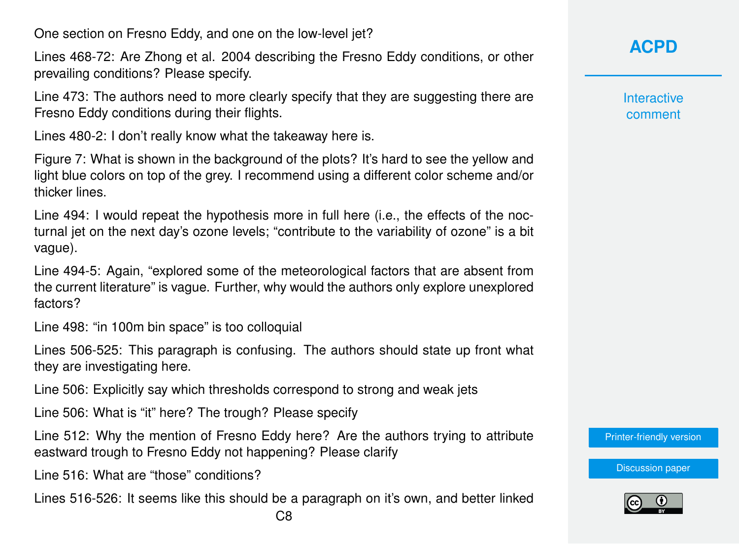One section on Fresno Eddy, and one on the low-level jet?

Lines 468-72: Are Zhong et al. 2004 describing the Fresno Eddy conditions, or other prevailing conditions? Please specify.

Line 473: The authors need to more clearly specify that they are suggesting there are Fresno Eddy conditions during their flights.

Lines 480-2: I don't really know what the takeaway here is.

Figure 7: What is shown in the background of the plots? It's hard to see the yellow and light blue colors on top of the grey. I recommend using a different color scheme and/or thicker lines.

Line 494: I would repeat the hypothesis more in full here (i.e., the effects of the nocturnal jet on the next day's ozone levels; "contribute to the variability of ozone" is a bit vague).

Line 494-5: Again, "explored some of the meteorological factors that are absent from the current literature" is vague. Further, why would the authors only explore unexplored factors?

Line 498: "in 100m bin space" is too colloquial

Lines 506-525: This paragraph is confusing. The authors should state up front what they are investigating here.

Line 506: Explicitly say which thresholds correspond to strong and weak jets

Line 506: What is "it" here? The trough? Please specify

Line 512: Why the mention of Fresno Eddy here? Are the authors trying to attribute eastward trough to Fresno Eddy not happening? Please clarify

Line 516: What are "those" conditions?

Lines 516-526: It seems like this should be a paragraph on it's own, and better linked

**Interactive** comment

[Printer-friendly version](https://www.atmos-chem-phys-discuss.net/acp-2018-854/acp-2018-854-RC1-print.pdf)

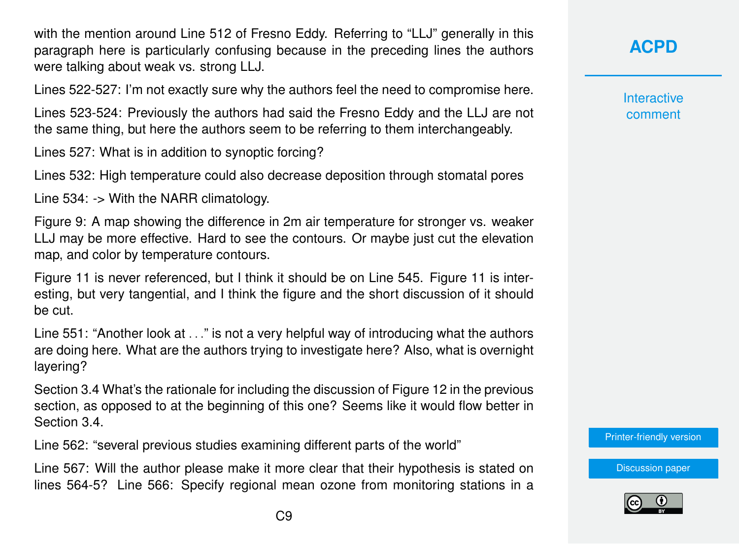with the mention around Line 512 of Fresno Eddy. Referring to "LLJ" generally in this paragraph here is particularly confusing because in the preceding lines the authors were talking about weak vs. strong LLJ.

Lines 522-527: I'm not exactly sure why the authors feel the need to compromise here.

Lines 523-524: Previously the authors had said the Fresno Eddy and the LLJ are not the same thing, but here the authors seem to be referring to them interchangeably.

Lines 527: What is in addition to synoptic forcing?

Lines 532: High temperature could also decrease deposition through stomatal pores

Line 534: -> With the NARR climatology.

Figure 9: A map showing the difference in 2m air temperature for stronger vs. weaker LLJ may be more effective. Hard to see the contours. Or maybe just cut the elevation map, and color by temperature contours.

Figure 11 is never referenced, but I think it should be on Line 545. Figure 11 is interesting, but very tangential, and I think the figure and the short discussion of it should be cut.

Line 551: "Another look at . . ." is not a very helpful way of introducing what the authors are doing here. What are the authors trying to investigate here? Also, what is overnight layering?

Section 3.4 What's the rationale for including the discussion of Figure 12 in the previous section, as opposed to at the beginning of this one? Seems like it would flow better in Section 3.4.

Line 562: "several previous studies examining different parts of the world"

Line 567: Will the author please make it more clear that their hypothesis is stated on lines 564-5? Line 566: Specify regional mean ozone from monitoring stations in a **[ACPD](https://www.atmos-chem-phys-discuss.net/)**

**Interactive** comment

[Printer-friendly version](https://www.atmos-chem-phys-discuss.net/acp-2018-854/acp-2018-854-RC1-print.pdf)

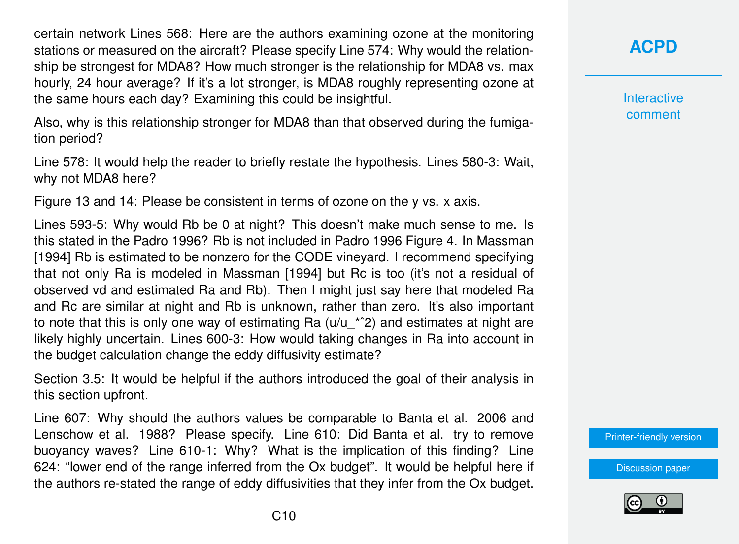certain network Lines 568: Here are the authors examining ozone at the monitoring stations or measured on the aircraft? Please specify Line 574: Why would the relationship be strongest for MDA8? How much stronger is the relationship for MDA8 vs. max hourly, 24 hour average? If it's a lot stronger, is MDA8 roughly representing ozone at the same hours each day? Examining this could be insightful.

Also, why is this relationship stronger for MDA8 than that observed during the fumigation period?

Line 578: It would help the reader to briefly restate the hypothesis. Lines 580-3: Wait, why not MDA8 here?

Figure 13 and 14: Please be consistent in terms of ozone on the y vs. x axis.

Lines 593-5: Why would Rb be 0 at night? This doesn't make much sense to me. Is this stated in the Padro 1996? Rb is not included in Padro 1996 Figure 4. In Massman [1994] Rb is estimated to be nonzero for the CODE vineyard. I recommend specifying that not only Ra is modeled in Massman [1994] but Rc is too (it's not a residual of observed vd and estimated Ra and Rb). Then I might just say here that modeled Ra and Rc are similar at night and Rb is unknown, rather than zero. It's also important to note that this is only one way of estimating Ra  $(u/u<sup>-*^2</sup>)$  and estimates at night are likely highly uncertain. Lines 600-3: How would taking changes in Ra into account in the budget calculation change the eddy diffusivity estimate?

Section 3.5: It would be helpful if the authors introduced the goal of their analysis in this section upfront.

Line 607: Why should the authors values be comparable to Banta et al. 2006 and Lenschow et al. 1988? Please specify. Line 610: Did Banta et al. try to remove buoyancy waves? Line 610-1: Why? What is the implication of this finding? Line 624: "lower end of the range inferred from the Ox budget". It would be helpful here if the authors re-stated the range of eddy diffusivities that they infer from the Ox budget.



**Interactive** comment

[Printer-friendly version](https://www.atmos-chem-phys-discuss.net/acp-2018-854/acp-2018-854-RC1-print.pdf)

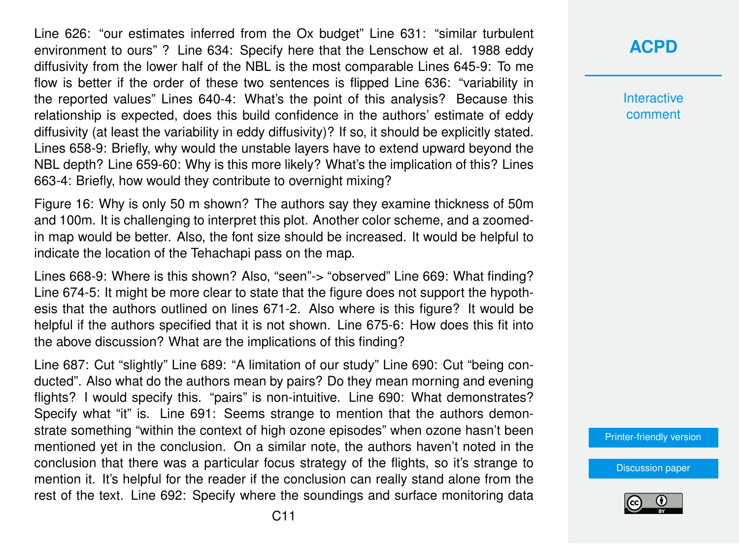Line 626: "our estimates inferred from the Ox budget" Line 631: "similar turbulent environment to ours" ? Line 634: Specify here that the Lenschow et al. 1988 eddy diffusivity from the lower half of the NBL is the most comparable Lines 645-9: To me flow is better if the order of these two sentences is flipped Line 636: "variability in the reported values" Lines 640-4: What's the point of this analysis? Because this relationship is expected, does this build confidence in the authors' estimate of eddy diffusivity (at least the variability in eddy diffusivity)? If so, it should be explicitly stated. Lines 658-9: Briefly, why would the unstable layers have to extend upward beyond the NBL depth? Line 659-60: Why is this more likely? What's the implication of this? Lines 663-4: Briefly, how would they contribute to overnight mixing?

Figure 16: Why is only 50 m shown? The authors say they examine thickness of 50m and 100m. It is challenging to interpret this plot. Another color scheme, and a zoomedin map would be better. Also, the font size should be increased. It would be helpful to indicate the location of the Tehachapi pass on the map.

Lines 668-9: Where is this shown? Also, "seen"-> "observed" Line 669: What finding? Line 674-5: It might be more clear to state that the figure does not support the hypothesis that the authors outlined on lines 671-2. Also where is this figure? It would be helpful if the authors specified that it is not shown. Line 675-6: How does this fit into the above discussion? What are the implications of this finding?

Line 687: Cut "slightly" Line 689: "A limitation of our study" Line 690: Cut "being conducted". Also what do the authors mean by pairs? Do they mean morning and evening flights? I would specify this. "pairs" is non-intuitive. Line 690: What demonstrates? Specify what "it" is. Line 691: Seems strange to mention that the authors demonstrate something "within the context of high ozone episodes" when ozone hasn't been mentioned yet in the conclusion. On a similar note, the authors haven't noted in the conclusion that there was a particular focus strategy of the flights, so it's strange to mention it. It's helpful for the reader if the conclusion can really stand alone from the rest of the text. Line 692: Specify where the soundings and surface monitoring data

### **[ACPD](https://www.atmos-chem-phys-discuss.net/)**

**Interactive** comment

[Printer-friendly version](https://www.atmos-chem-phys-discuss.net/acp-2018-854/acp-2018-854-RC1-print.pdf)